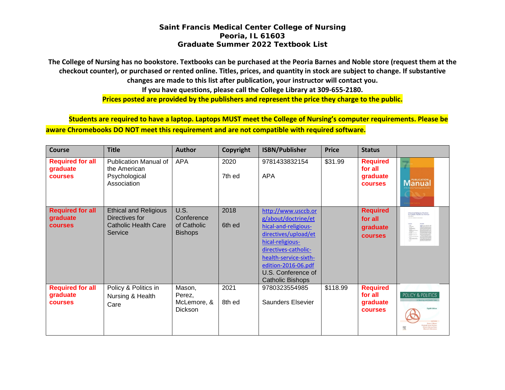**The College of Nursing has no bookstore. Textbooks can be purchased at the Peoria Barnes and Noble store (request them at the checkout counter), or purchased or rented online. Titles, prices, and quantity in stock are subject to change. If substantive changes are made to this list after publication, your instructor will contact you. If you have questions, please call the College Library at 309-655-2180. Prices posted are provided by the publishers and represent the price they charge to the public.**

**Students are required to have a laptop. Laptops MUST meet the College of Nursing's computer requirements. Please be aware Chromebooks DO NOT meet this requirement and are not compatible with required software.**

| <b>Course</b>                                         | <b>Title</b>                                                                             | <b>Author</b>                                              | Copyright      | <b>ISBN/Publisher</b>                                                                                                                                                                                                                   | <b>Price</b> | <b>Status</b>                                            |                                                                   |
|-------------------------------------------------------|------------------------------------------------------------------------------------------|------------------------------------------------------------|----------------|-----------------------------------------------------------------------------------------------------------------------------------------------------------------------------------------------------------------------------------------|--------------|----------------------------------------------------------|-------------------------------------------------------------------|
| <b>Required for all</b><br>graduate<br><b>courses</b> | <b>Publication Manual of</b><br>the American<br>Psychological<br>Association             | <b>APA</b>                                                 | 2020<br>7th ed | 9781433832154<br><b>APA</b>                                                                                                                                                                                                             | \$31.99      | <b>Required</b><br>for all<br>graduate<br><b>courses</b> | <b>Manual</b>                                                     |
| <b>Required for all</b><br>graduate<br><b>courses</b> | <b>Ethical and Religious</b><br>Directives for<br><b>Catholic Health Care</b><br>Service | <b>U.S.</b><br>Conference<br>of Catholic<br><b>Bishops</b> | 2018<br>6th ed | http://www.usccb.or<br>g/about/doctrine/et<br>hical-and-religious-<br>directives/upload/et<br>hical-religious-<br>directives-catholic-<br>health-service-sixth-<br>edition-2016-06.pdf<br>U.S. Conference of<br><b>Catholic Bishops</b> |              | <b>Required</b><br>for all<br>graduate<br><b>courses</b> | Ethical and Religious Directive<br>for Catholic Health Care Servi |
| <b>Required for all</b><br>graduate<br><b>courses</b> | Policy & Politics in<br>Nursing & Health<br>Care                                         | Mason,<br>Perez,<br>McLemore, &<br>Dickson                 | 2021<br>8th ed | 9780323554985<br><b>Saunders Elsevier</b>                                                                                                                                                                                               | \$118.99     | <b>Required</b><br>for all<br>graduate<br><b>courses</b> | POLICY & POLITICS<br>宽                                            |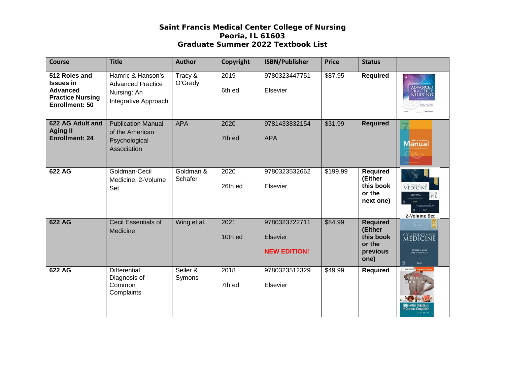| <b>Course</b>                                                                                     | <b>Title</b>                                                                         | <b>Author</b>        | Copyright       | <b>ISBN/Publisher</b>                            | <b>Price</b> | <b>Status</b>                                                         |                                                                          |
|---------------------------------------------------------------------------------------------------|--------------------------------------------------------------------------------------|----------------------|-----------------|--------------------------------------------------|--------------|-----------------------------------------------------------------------|--------------------------------------------------------------------------|
| 512 Roles and<br><b>Issues in</b><br><b>Advanced</b><br><b>Practice Nursing</b><br>Enrollment: 50 | Hamric & Hanson's<br><b>Advanced Practice</b><br>Nursing: An<br>Integrative Approach | Tracy &<br>O'Grady   | 2019<br>6th ed  | 9780323447751<br>Elsevier                        | \$87.95      | <b>Required</b>                                                       | ADVANCED<br>PRACTICE<br>NURSING                                          |
| 622 AG Adult and<br><b>Aging II</b><br><b>Enrollment: 24</b>                                      | <b>Publication Manual</b><br>of the American<br>Psychological<br>Association         | <b>APA</b>           | 2020<br>7th ed  | 9781433832154<br><b>APA</b>                      | \$31.99      | <b>Required</b>                                                       | Manual                                                                   |
| 622 AG                                                                                            | Goldman-Cecil<br>Medicine, 2-Volume<br>Set                                           | Goldman &<br>Schafer | 2020<br>26th ed | 9780323532662<br>Elsevier                        | \$199.99     | <b>Required</b><br>(Either<br>this book<br>or the<br>next one)        | <b>MEDICINE</b><br>2-Volume Set                                          |
| 622 AG                                                                                            | Cecil Essentials of<br>Medicine                                                      | Wing et al.          | 2021<br>10th ed | 9780323722711<br>Elsevier<br><b>NEW EDITION!</b> | \$84.99      | <b>Required</b><br>(Either<br>this book<br>or the<br>previous<br>one) | CECIL ESSENTIALS OF<br>EDWARD J. WING<br><b>FRED J SCHIFFMAN</b><br>Coch |
| 622 AG                                                                                            | <b>Differential</b><br>Diagnosis of<br>Common<br>Complaints                          | Seller &<br>Symons   | 2018<br>7th ed  | 9780323512329<br>Elsevier                        | \$49.99      | <b>Required</b>                                                       | ROBERT H. SELLER                                                         |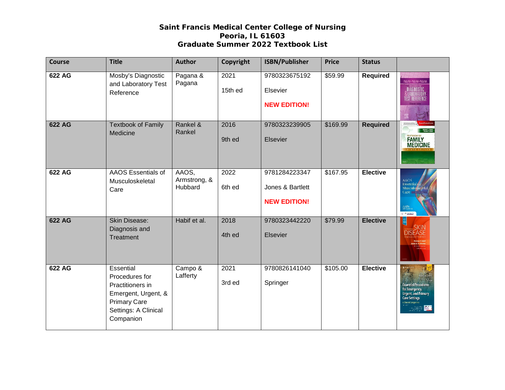| <b>Course</b> | <b>Title</b>                                                                                                                       | <b>Author</b>                    | Copyright       | <b>ISBN/Publisher</b>                                    | <b>Price</b> | <b>Status</b>   |                                                                                                                                     |
|---------------|------------------------------------------------------------------------------------------------------------------------------------|----------------------------------|-----------------|----------------------------------------------------------|--------------|-----------------|-------------------------------------------------------------------------------------------------------------------------------------|
| 622 AG        | Mosby's Diagnostic<br>and Laboratory Test<br>Reference                                                                             | Pagana &<br>Pagana               | 2021<br>15th ed | 9780323675192<br>Elsevier<br><b>NEW EDITION!</b>         | \$59.99      | <b>Required</b> | PAGANA-PAGANA-PAGANA<br><b>IAGNOSTIC</b>                                                                                            |
| 622 AG        | <b>Textbook of Family</b><br>Medicine                                                                                              | Rankel &<br>Rankel               | 2016<br>9th ed  | 9780323239905<br>Elsevier                                | \$169.99     | <b>Required</b> | FAMILY<br>MEDICINE                                                                                                                  |
| 622 AG        | AAOS Essentials of<br>Musculoskeletal<br>Care                                                                                      | AAOS,<br>Armstrong, &<br>Hubbard | 2022<br>6th ed  | 9781284223347<br>Jones & Bartlett<br><b>NEW EDITION!</b> | \$167.95     | <b>Elective</b> | <b>AAOS</b><br>Essentials<br>Musculoskeletal<br>Care<br>AAOS<br><sup>Her</sup> teensi<br>or www.                                    |
| 622 AG        | <b>Skin Disease:</b><br>Diagnosis and<br>Treatment                                                                                 | Habif et al.                     | 2018<br>4th ed  | 9780323442220<br>Elsevier                                | \$79.99      | <b>Elective</b> | <b>DISEASE</b>                                                                                                                      |
| 622 AG        | Essential<br>Procedures for<br>Practitioners in<br>Emergent, Urgent, &<br><b>Primary Care</b><br>Settings: A Clinical<br>Companion | Campo &<br>Lafferty              | 2021<br>3rd ed  | 9780826141040<br>Springer                                | \$105.00     | <b>Elective</b> | <b>Essential Procedures</b><br>for Emergency,<br>Urgent, and Primary<br><b>Care Settings</b><br>Clinical Companien<br><b>Barnet</b> |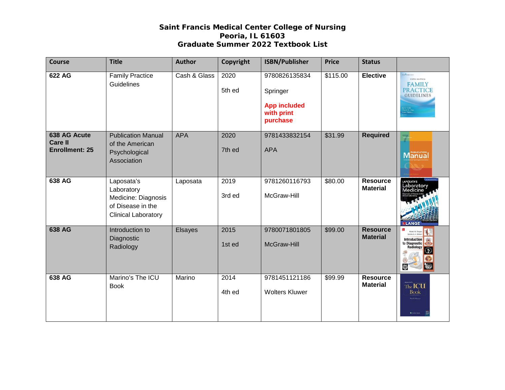| <b>Course</b>                                           | <b>Title</b>                                                                                       | <b>Author</b> | Copyright      | <b>ISBN/Publisher</b>                                                      | <b>Price</b> | <b>Status</b>                      |                                                                                                                                                       |
|---------------------------------------------------------|----------------------------------------------------------------------------------------------------|---------------|----------------|----------------------------------------------------------------------------|--------------|------------------------------------|-------------------------------------------------------------------------------------------------------------------------------------------------------|
| 622 AG                                                  | <b>Family Practice</b><br><b>Guidelines</b>                                                        | Cash & Glass  | 2020<br>5th ed | 9780826135834<br>Springer<br><b>App included</b><br>with print<br>purchase | \$115.00     | <b>Elective</b>                    | <b>January Corporation</b><br><b>FIFTH SDITION</b><br><b>FAMILY</b><br><b>PRACTICE</b><br><b>GUIDELINES</b><br>. C. Cash<br>seryl A. Cla<br>my Mullen |
| 638 AG Acute<br><b>Care II</b><br><b>Enrollment: 25</b> | <b>Publication Manual</b><br>of the American<br>Psychological<br>Association                       | <b>APA</b>    | 2020<br>7th ed | 9781433832154<br><b>APA</b>                                                | \$31.99      | <b>Required</b>                    | Manual                                                                                                                                                |
| 638 AG                                                  | Laposata's<br>Laboratory<br>Medicine: Diagnosis<br>of Disease in the<br><b>Clinical Laboratory</b> | Laposata      | 2019<br>3rd ed | 9781260116793<br>McGraw-Hill                                               | \$80.00      | Resource<br><b>Material</b>        | LAPOSATA'S<br>Laboratory<br>Aedicine<br><b>LANGE</b>                                                                                                  |
| 638 AG                                                  | Introduction to<br>Diagnostic<br>Radiology                                                         | Elsayes       | 2015<br>1st ed | 9780071801805<br>McGraw-Hill                                               | \$99.00      | <b>Resource</b><br><b>Material</b> | Khaled M. Els<br>andra A. A. Ok<br><b>Introduction</b><br>to Diagnostic<br>Radiology<br>$\ddot{\circ}$                                                |
| 638 AG                                                  | Marino's The ICU<br><b>Book</b>                                                                    | Marino        | 2014<br>4th ed | 9781451121186<br><b>Wolters Kluwer</b>                                     | \$99.99      | <b>Resource</b><br><b>Material</b> | The <b>ICU</b><br>Book<br>Test L. Morrie<br><b>O</b> . Home class                                                                                     |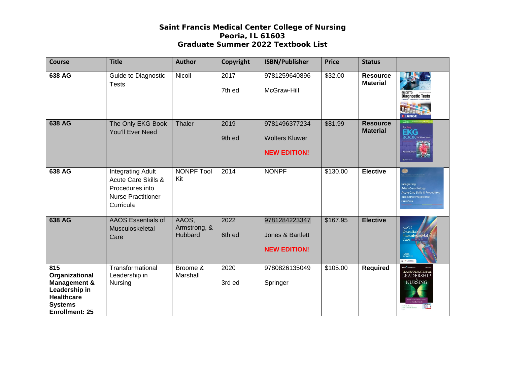| <b>Course</b>                                                                                                                     | <b>Title</b>                                                                                                 | <b>Author</b>                    | Copyright      | <b>ISBN/Publisher</b>                                         | <b>Price</b> | <b>Status</b>                      |                                                                                               |
|-----------------------------------------------------------------------------------------------------------------------------------|--------------------------------------------------------------------------------------------------------------|----------------------------------|----------------|---------------------------------------------------------------|--------------|------------------------------------|-----------------------------------------------------------------------------------------------|
| 638 AG                                                                                                                            | Guide to Diagnostic<br><b>Tests</b>                                                                          | Nicoll                           | 2017<br>7th ed | 9781259640896<br>McGraw-Hill                                  | \$32.00      | <b>Resource</b><br><b>Material</b> | <b>Diagnostic Tests</b><br><b>ELANGE</b>                                                      |
| 638 AG                                                                                                                            | The Only EKG Book<br>You'll Ever Need                                                                        | Thaler                           | 2019<br>9th ed | 9781496377234<br><b>Wolters Kluwer</b><br><b>NEW EDITION!</b> | \$81.99      | <b>Resource</b><br><b>Material</b> | <b>EKG</b><br><b>OOK</b> You'll Ever                                                          |
| 638 AG                                                                                                                            | <b>Integrating Adult</b><br>Acute Care Skills &<br>Procedures into<br><b>Nurse Practitioner</b><br>Curricula | <b>NONPF Tool</b><br>Kit         | 2014           | <b>NONPF</b>                                                  | \$130.00     | <b>Elective</b>                    | ntegrating<br><b>Adult-Gerontology</b><br>nto Nurse Practitioner<br>Curricula                 |
| <b>638 AG</b>                                                                                                                     | <b>AAOS Essentials of</b><br>Musculoskeletal<br>Care                                                         | AAOS,<br>Armstrong, &<br>Hubbard | 2022<br>6th ed | 9781284223347<br>Jones & Bartlett<br><b>NEW EDITION!</b>      | \$167.95     | <b>Elective</b>                    | <b>AAOS</b><br>Essential:<br>Musculoskeleta.<br>Care.<br>AAOS<br>2002/01/12<br><b>Brander</b> |
| 815<br>Organizational<br><b>Management &amp;</b><br>Leadership in<br><b>Healthcare</b><br><b>Systems</b><br><b>Enrollment: 25</b> | Transformational<br>Leadership in<br>Nursing                                                                 | Broome &<br>Marshall             | 2020<br>3rd ed | 9780826135049<br>Springer                                     | \$105.00     | <b>Required</b>                    | <b>TRANSFORMATIONAL</b><br><b>LEADERSHIP</b><br><b>NURSING</b>                                |